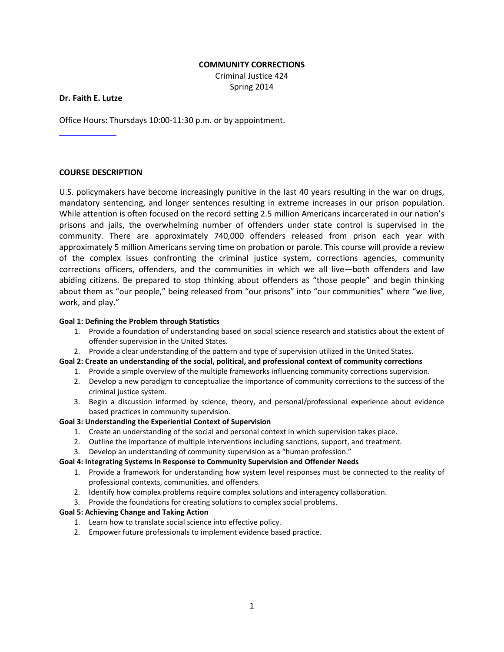### **COMMUNITY CORRECTIONS**

Criminal Justice 424 Spring 2014

### **Dr. Faith E. Lutze**

Office Hours: Thursdays 10:00-11:30 p.m. or by appointment.

### **COURSE DESCRIPTION**

U.S. policymakers have become increasingly punitive in the last 40 years resulting in the war on drugs, mandatory sentencing, and longer sentences resulting in extreme increases in our prison population. While attention is often focused on the record setting 2.5 million Americans incarcerated in our nation's prisons and jails, the overwhelming number of offenders under state control is supervised in the community. There are approximately 740,000 offenders released from prison each year with approximately 5 million Americans serving time on probation or parole. This course will provide a review of the complex issues confronting the criminal justice system, corrections agencies, community corrections officers, offenders, and the communities in which we all live—both offenders and law abiding citizens. Be prepared to stop thinking about offenders as "those people" and begin thinking about them as "our people," being released from "our prisons" into "our communities" where "we live, work, and play."

#### **Goal 1: Defining the Problem through Statistics**

- 1. Provide a foundation of understanding based on social science research and statistics about the extent of offender supervision in the United States.
- 2. Provide a clear understanding of the pattern and type of supervision utilized in the United States.

### **Goal 2: Create an understanding of the social, political, and professional context of community corrections**

- 1. Provide a simple overview of the multiple frameworks influencing community corrections supervision.
- 2. Develop a new paradigm to conceptualize the importance of community corrections to the success of the criminal justice system.
- 3. Begin a discussion informed by science, theory, and personal/professional experience about evidence based practices in community supervision.

#### **Goal 3: Understanding the Experiential Context of Supervision**

- 1. Create an understanding of the social and personal context in which supervision takes place.
- 2. Outline the importance of multiple interventions including sanctions, support, and treatment.
- 3. Develop an understanding of community supervision as a "human profession."

#### **Goal 4: Integrating Systems in Response to Community Supervision and Offender Needs**

- 1. Provide a framework for understanding how system level responses must be connected to the reality of professional contexts, communities, and offenders.
- 2. Identify how complex problems require complex solutions and interagency collaboration.
- 3. Provide the foundations for creating solutions to complex social problems.

#### **Goal 5: Achieving Change and Taking Action**

- 1. Learn how to translate social science into effective policy.
- 2. Empower future professionals to implement evidence based practice.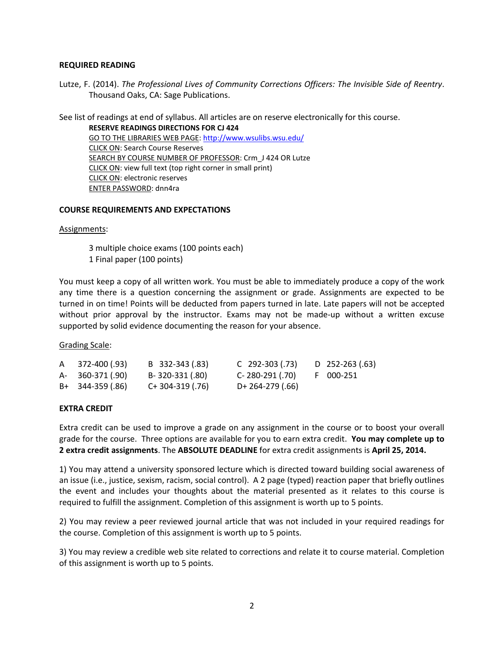### **REQUIRED READING**

Lutze, F. (2014). *The Professional Lives of Community Corrections Officers: The Invisible Side of Reentry*. Thousand Oaks, CA: Sage Publications.

See list of readings at end of syllabus. All articles are on reserve electronically for this course.

**RESERVE READINGS DIRECTIONS FOR CJ 424** GO TO THE LIBRARIES WEB PAGE:<http://www.wsulibs.wsu.edu/> CLICK ON: Search Course Reserves SEARCH BY COURSE NUMBER OF PROFESSOR: Crm J 424 OR Lutze CLICK ON: view full text (top right corner in small print) CLICK ON: electronic reserves ENTER PASSWORD: dnn4ra

### **COURSE REQUIREMENTS AND EXPECTATIONS**

#### Assignments:

3 multiple choice exams (100 points each) 1 Final paper (100 points)

You must keep a copy of all written work. You must be able to immediately produce a copy of the work any time there is a question concerning the assignment or grade. Assignments are expected to be turned in on time! Points will be deducted from papers turned in late. Late papers will not be accepted without prior approval by the instructor. Exams may not be made-up without a written excuse supported by solid evidence documenting the reason for your absence.

Grading Scale:

| A 372-400 (.93)   | B 332-343 (.83)    | C 292-303 (.73)  | D 252-263 (.63) |
|-------------------|--------------------|------------------|-----------------|
| A- 360-371 (.90)  | B-320-331 (.80)    | C- 280-291 (.70) | F 000-251       |
| $B+ 344-359(.86)$ | $C+ 304-319$ (.76) | D+ 264-279 (.66) |                 |

## **EXTRA CREDIT**

Extra credit can be used to improve a grade on any assignment in the course or to boost your overall grade for the course. Three options are available for you to earn extra credit. **You may complete up to 2 extra credit assignments**. The **ABSOLUTE DEADLINE** for extra credit assignments is **April 25, 2014.**

1) You may attend a university sponsored lecture which is directed toward building social awareness of an issue (i.e., justice, sexism, racism, social control). A 2 page (typed) reaction paper that briefly outlines the event and includes your thoughts about the material presented as it relates to this course is required to fulfill the assignment. Completion of this assignment is worth up to 5 points.

2) You may review a peer reviewed journal article that was not included in your required readings for the course. Completion of this assignment is worth up to 5 points.

3) You may review a credible web site related to corrections and relate it to course material. Completion of this assignment is worth up to 5 points.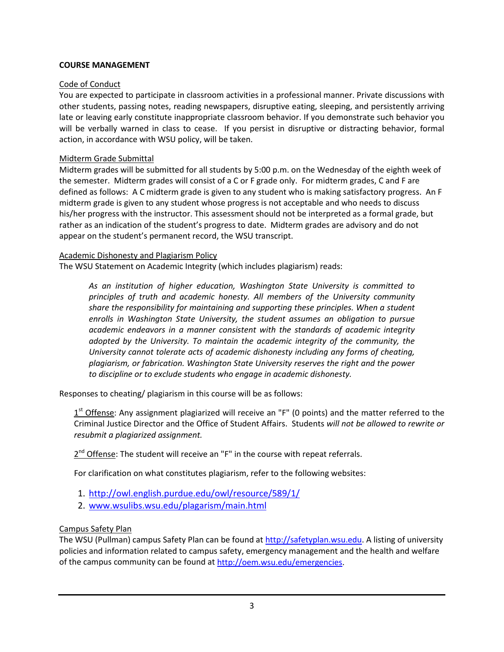# **COURSE MANAGEMENT**

# Code of Conduct

You are expected to participate in classroom activities in a professional manner. Private discussions with other students, passing notes, reading newspapers, disruptive eating, sleeping, and persistently arriving late or leaving early constitute inappropriate classroom behavior. If you demonstrate such behavior you will be verbally warned in class to cease. If you persist in disruptive or distracting behavior, formal action, in accordance with WSU policy, will be taken.

## Midterm Grade Submittal

Midterm grades will be submitted for all students by 5:00 p.m. on the Wednesday of the eighth week of the semester. Midterm grades will consist of a C or F grade only. For midterm grades, C and F are defined as follows: A C midterm grade is given to any student who is making satisfactory progress. An F midterm grade is given to any student whose progress is not acceptable and who needs to discuss his/her progress with the instructor. This assessment should not be interpreted as a formal grade, but rather as an indication of the student's progress to date. Midterm grades are advisory and do not appear on the student's permanent record, the WSU transcript.

## Academic Dishonesty and Plagiarism Policy

The WSU Statement on Academic Integrity (which includes plagiarism) reads:

*As an institution of higher education, Washington State University is committed to principles of truth and academic honesty. All members of the University community share the responsibility for maintaining and supporting these principles. When a student enrolls in Washington State University, the student assumes an obligation to pursue academic endeavors in a manner consistent with the standards of academic integrity adopted by the University. To maintain the academic integrity of the community, the University cannot tolerate acts of academic dishonesty including any forms of cheating, plagiarism, or fabrication. Washington State University reserves the right and the power to discipline or to exclude students who engage in academic dishonesty.*

Responses to cheating/ plagiarism in this course will be as follows:

 $1<sup>st</sup>$  Offense: Any assignment plagiarized will receive an "F" (0 points) and the matter referred to the Criminal Justice Director and the Office of Student Affairs. Students *will not be allowed to rewrite or resubmit a plagiarized assignment.*

 $2^{nd}$  Offense: The student will receive an "F" in the course with repeat referrals.

For clarification on what constitutes plagiarism, refer to the following websites:

- 1. <http://owl.english.purdue.edu/owl/resource/589/1/>
- 2. [www.wsulibs.wsu.edu/plagarism/main.html](http://www.wsulibs.wsu.edu/plagarism/main.html)

# Campus Safety Plan

The WSU (Pullman) campus Safety Plan can be found at [http://safetyplan.wsu.edu.](http://safetyplan.wsu.edu/) A listing of university policies and information related to campus safety, emergency management and the health and welfare of the campus community can be found a[t http://oem.wsu.edu/emergencies.](http://oem.wsu.edu/emergencies)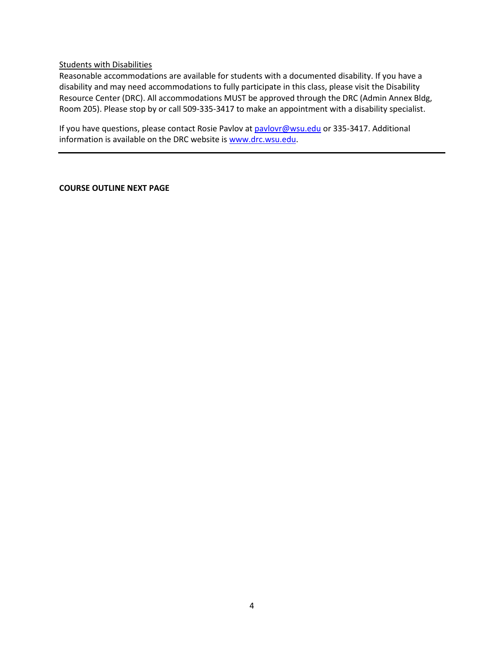### Students with Disabilities

Reasonable accommodations are available for students with a documented disability. If you have a disability and may need accommodations to fully participate in this class, please visit the Disability Resource Center (DRC). All accommodations MUST be approved through the DRC (Admin Annex Bldg, Room 205). Please stop by or call 509-335-3417 to make an appointment with a disability specialist.

If you have questions, please contact Rosie Pavlov at [pavlovr@wsu.edu](mailto:pavlovr@wsu.edu) or 335-3417. Additional information is available on the DRC website i[s www.drc.wsu.edu.](http://www.drc.wsu.edu/)

### **COURSE OUTLINE NEXT PAGE**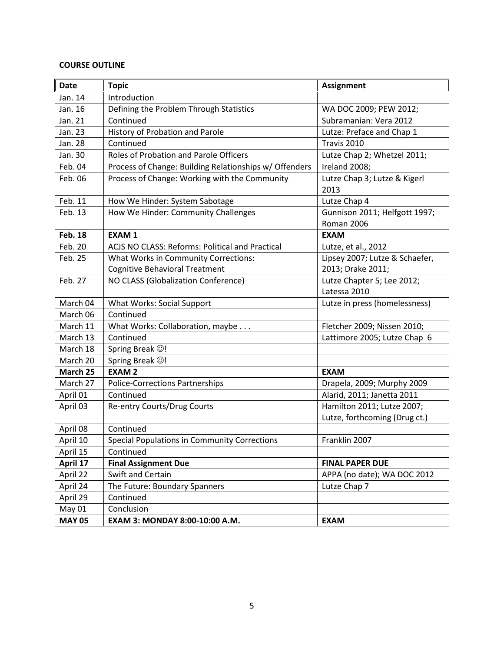# **COURSE OUTLINE**

| <b>Date</b>    | <b>Topic</b>                                           | <b>Assignment</b>                           |
|----------------|--------------------------------------------------------|---------------------------------------------|
| Jan. 14        | Introduction                                           |                                             |
| Jan. 16        | Defining the Problem Through Statistics                | WA DOC 2009; PEW 2012;                      |
| Jan. 21        | Continued                                              | Subramanian: Vera 2012                      |
| Jan. 23        | History of Probation and Parole                        | Lutze: Preface and Chap 1                   |
| Jan. 28        | Continued                                              | Travis 2010                                 |
| Jan. 30        | Roles of Probation and Parole Officers                 | Lutze Chap 2; Whetzel 2011;                 |
| Feb. 04        | Process of Change: Building Relationships w/ Offenders | Ireland 2008;                               |
| Feb. 06        | Process of Change: Working with the Community          | Lutze Chap 3; Lutze & Kigerl<br>2013        |
| Feb. 11        | How We Hinder: System Sabotage                         | Lutze Chap 4                                |
| Feb. 13        | How We Hinder: Community Challenges                    | Gunnison 2011; Helfgott 1997;<br>Roman 2006 |
| <b>Feb. 18</b> | <b>EXAM1</b>                                           | <b>EXAM</b>                                 |
| Feb. 20        | ACJS NO CLASS: Reforms: Political and Practical        | Lutze, et al., 2012                         |
| Feb. 25        | What Works in Community Corrections:                   | Lipsey 2007; Lutze & Schaefer,              |
|                | <b>Cognitive Behavioral Treatment</b>                  | 2013; Drake 2011;                           |
| Feb. 27        | NO CLASS (Globalization Conference)                    | Lutze Chapter 5; Lee 2012;<br>Latessa 2010  |
| March 04       | <b>What Works: Social Support</b>                      | Lutze in press (homelessness)               |
| March 06       | Continued                                              |                                             |
| March 11       | What Works: Collaboration, maybe                       | Fletcher 2009; Nissen 2010;                 |
| March 13       | Continued                                              | Lattimore 2005; Lutze Chap 6                |
| March 18       | Spring Break $\odot$ !                                 |                                             |
| March 20       | Spring Break ©!                                        |                                             |
| March 25       | <b>EXAM2</b>                                           | <b>EXAM</b>                                 |
| March 27       | <b>Police-Corrections Partnerships</b>                 | Drapela, 2009; Murphy 2009                  |
| April 01       | Continued                                              | Alarid, 2011; Janetta 2011                  |
| April 03       | Re-entry Courts/Drug Courts                            | Hamilton 2011; Lutze 2007;                  |
|                |                                                        | Lutze, forthcoming (Drug ct.)               |
| April 08       | Continued                                              |                                             |
| April 10       | Special Populations in Community Corrections           | Franklin 2007                               |
| April 15       | Continued                                              |                                             |
| April 17       | <b>Final Assignment Due</b>                            | <b>FINAL PAPER DUE</b>                      |
| April 22       | Swift and Certain                                      | APPA (no date); WA DOC 2012                 |
| April 24       | The Future: Boundary Spanners                          | Lutze Chap 7                                |
| April 29       | Continued                                              |                                             |
| May 01         | Conclusion                                             |                                             |
| <b>MAY 05</b>  | EXAM 3: MONDAY 8:00-10:00 A.M.                         | <b>EXAM</b>                                 |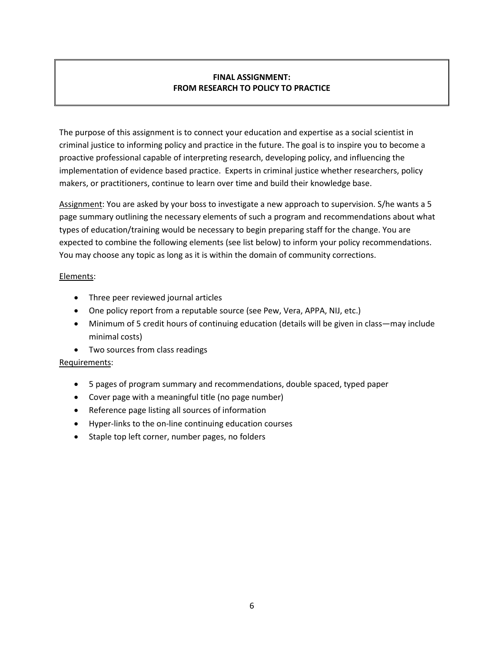# **FINAL ASSIGNMENT: FROM RESEARCH TO POLICY TO PRACTICE**

The purpose of this assignment is to connect your education and expertise as a social scientist in criminal justice to informing policy and practice in the future. The goal is to inspire you to become a proactive professional capable of interpreting research, developing policy, and influencing the implementation of evidence based practice. Experts in criminal justice whether researchers, policy makers, or practitioners, continue to learn over time and build their knowledge base.

Assignment: You are asked by your boss to investigate a new approach to supervision. S/he wants a 5 page summary outlining the necessary elements of such a program and recommendations about what types of education/training would be necessary to begin preparing staff for the change. You are expected to combine the following elements (see list below) to inform your policy recommendations. You may choose any topic as long as it is within the domain of community corrections.

## Elements:

- Three peer reviewed journal articles
- One policy report from a reputable source (see Pew, Vera, APPA, NIJ, etc.)
- Minimum of 5 credit hours of continuing education (details will be given in class—may include minimal costs)
- Two sources from class readings

# Requirements:

- 5 pages of program summary and recommendations, double spaced, typed paper
- Cover page with a meaningful title (no page number)
- Reference page listing all sources of information
- Hyper-links to the on-line continuing education courses
- Staple top left corner, number pages, no folders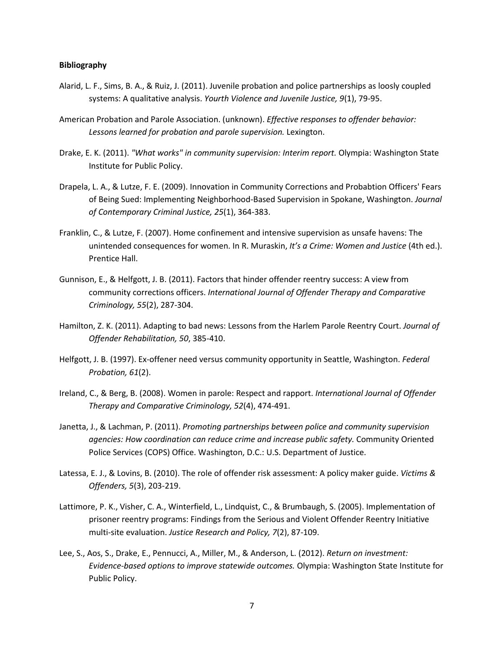#### **Bibliography**

- Alarid, L. F., Sims, B. A., & Ruiz, J. (2011). Juvenile probation and police partnerships as loosly coupled systems: A qualitative analysis. *Yourth Violence and Juvenile Justice, 9*(1), 79-95.
- American Probation and Parole Association. (unknown). *Effective responses to offender behavior: Lessons learned for probation and parole supervision.* Lexington.
- Drake, E. K. (2011). *"What works" in community supervision: Interim report.* Olympia: Washington State Institute for Public Policy.
- Drapela, L. A., & Lutze, F. E. (2009). Innovation in Community Corrections and Probabtion Officers' Fears of Being Sued: Implementing Neighborhood-Based Supervision in Spokane, Washington. *Journal of Contemporary Criminal Justice, 25*(1), 364-383.
- Franklin, C., & Lutze, F. (2007). Home confinement and intensive supervision as unsafe havens: The unintended consequences for women. In R. Muraskin, *It's a Crime: Women and Justice* (4th ed.). Prentice Hall.
- Gunnison, E., & Helfgott, J. B. (2011). Factors that hinder offender reentry success: A view from community corrections officers. *International Journal of Offender Therapy and Comparative Criminology, 55*(2), 287-304.
- Hamilton, Z. K. (2011). Adapting to bad news: Lessons from the Harlem Parole Reentry Court. *Journal of Offender Rehabilitation, 50*, 385-410.
- Helfgott, J. B. (1997). Ex-offener need versus community opportunity in Seattle, Washington. *Federal Probation, 61*(2).
- Ireland, C., & Berg, B. (2008). Women in parole: Respect and rapport. *International Journal of Offender Therapy and Comparative Criminology, 52*(4), 474-491.
- Janetta, J., & Lachman, P. (2011). *Promoting partnerships between police and community supervision agencies: How coordination can reduce crime and increase public safety.* Community Oriented Police Services (COPS) Office. Washington, D.C.: U.S. Department of Justice.
- Latessa, E. J., & Lovins, B. (2010). The role of offender risk assessment: A policy maker guide. *Victims & Offenders, 5*(3), 203-219.
- Lattimore, P. K., Visher, C. A., Winterfield, L., Lindquist, C., & Brumbaugh, S. (2005). Implementation of prisoner reentry programs: Findings from the Serious and Violent Offender Reentry Initiative multi-site evaluation. *Justice Research and Policy, 7*(2), 87-109.
- Lee, S., Aos, S., Drake, E., Pennucci, A., Miller, M., & Anderson, L. (2012). *Return on investment: Evidence-based options to improve statewide outcomes.* Olympia: Washington State Institute for Public Policy.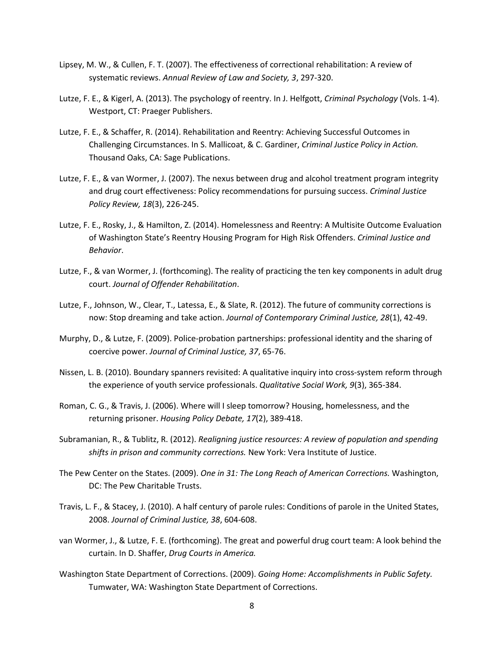- Lipsey, M. W., & Cullen, F. T. (2007). The effectiveness of correctional rehabilitation: A review of systematic reviews. *Annual Review of Law and Society, 3*, 297-320.
- Lutze, F. E., & Kigerl, A. (2013). The psychology of reentry. In J. Helfgott, *Criminal Psychology* (Vols. 1-4). Westport, CT: Praeger Publishers.
- Lutze, F. E., & Schaffer, R. (2014). Rehabilitation and Reentry: Achieving Successful Outcomes in Challenging Circumstances. In S. Mallicoat, & C. Gardiner, *Criminal Justice Policy in Action.* Thousand Oaks, CA: Sage Publications.
- Lutze, F. E., & van Wormer, J. (2007). The nexus between drug and alcohol treatment program integrity and drug court effectiveness: Policy recommendations for pursuing success. *Criminal Justice Policy Review, 18*(3), 226-245.
- Lutze, F. E., Rosky, J., & Hamilton, Z. (2014). Homelessness and Reentry: A Multisite Outcome Evaluation of Washington State's Reentry Housing Program for High Risk Offenders. *Criminal Justice and Behavior*.
- Lutze, F., & van Wormer, J. (forthcoming). The reality of practicing the ten key components in adult drug court. *Journal of Offender Rehabilitation*.
- Lutze, F., Johnson, W., Clear, T., Latessa, E., & Slate, R. (2012). The future of community corrections is now: Stop dreaming and take action. *Journal of Contemporary Criminal Justice, 28*(1), 42-49.
- Murphy, D., & Lutze, F. (2009). Police-probation partnerships: professional identity and the sharing of coercive power. *Journal of Criminal Justice, 37*, 65-76.
- Nissen, L. B. (2010). Boundary spanners revisited: A qualitative inquiry into cross-system reform through the experience of youth service professionals. *Qualitative Social Work, 9*(3), 365-384.
- Roman, C. G., & Travis, J. (2006). Where will I sleep tomorrow? Housing, homelessness, and the returning prisoner. *Housing Policy Debate, 17*(2), 389-418.
- Subramanian, R., & Tublitz, R. (2012). *Realigning justice resources: A review of population and spending shifts in prison and community corrections.* New York: Vera Institute of Justice.
- The Pew Center on the States. (2009). *One in 31: The Long Reach of American Corrections.* Washington, DC: The Pew Charitable Trusts.
- Travis, L. F., & Stacey, J. (2010). A half century of parole rules: Conditions of parole in the United States, 2008. *Journal of Criminal Justice, 38*, 604-608.
- van Wormer, J., & Lutze, F. E. (forthcoming). The great and powerful drug court team: A look behind the curtain. In D. Shaffer, *Drug Courts in America.*
- Washington State Department of Corrections. (2009). *Going Home: Accomplishments in Public Safety.* Tumwater, WA: Washington State Department of Corrections.